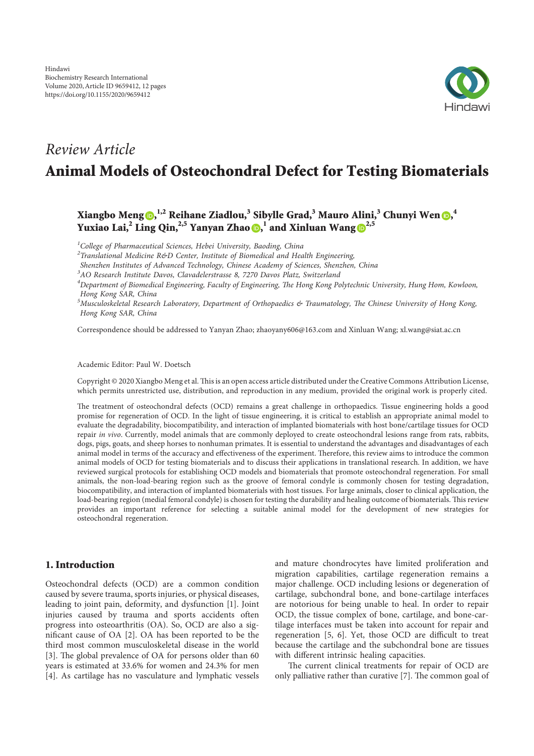

# *Review Article* Animal Models of Osteochondral Defect for Testing Biomaterials

Xiangbo Meng $\bm{\odot}, ^{1,2}$  Reihane Ziadlou, $^3$  Sibylle Grad, $^3$  Mauro Alini, $^3$  Chunyi Wen  $\bm{\odot}, ^4$ Yuxiao Lai,<sup>2</sup> Ling Qin,<sup>2,5</sup> Yanyan Zhao (D,  $^1$  and Xinluan Wang (D<sup>2,5</sup>

*1 College of Pharmaceutical Sciences, Hebei University, Baoding, China*

*2 Translational Medicine R&D Center, Institute of Biomedical and Health Engineering,*

*Shenzhen Institutes of Advanced Technology, Chinese Academy of Sciences, Shenzhen, China*

*3 AO Research Institute Davos, Clavadelerstrasse 8, 7270 Davos Platz, Switzerland*

*4 Department of Biomedical Engineering, Faculty of Engineering,* !*e Hong Kong Polytechnic University, Hung Hom, Kowloon, Hong Kong SAR, China*

*5 Musculoskeletal Research Laboratory, Department of Orthopaedics & Traumatology,* !*e Chinese University of Hong Kong, Hong Kong SAR, China*

Correspondence should be addressed to Yanyan Zhao; zhaoyany606@163.com and Xinluan Wang; xl.wang@siat.ac.cn

Received 21 October 2019; Accepted 7 January 2020; Published 28 January 2020

Academic Editor: Paul W. Doetsch

Copyright © 2020 Xiangbo Meng et al. This is an open access article distributed under the Creative Commons Attribution License, which permits unrestricted use, distribution, and reproduction in any medium, provided the original work is properly cited.

The treatment of osteochondral defects (OCD) remains a great challenge in orthopaedics. Tissue engineering holds a good promise for regeneration of OCD. In the light of tissue engineering, it is critical to establish an appropriate animal model to evaluate the degradability, biocompatibility, and interaction of implanted biomaterials with host bone/cartilage tissues for OCD repair *in vivo*. Currently, model animals that are commonly deployed to create osteochondral lesions range from rats, rabbits, dogs, pigs, goats, and sheep horses to nonhuman primates. It is essential to understand the advantages and disadvantages of each animal model in terms of the accuracy and effectiveness of the experiment. Therefore, this review aims to introduce the common animal models of OCD for testing biomaterials and to discuss their applications in translational research. In addition, we have reviewed surgical protocols for establishing OCD models and biomaterials that promote osteochondral regeneration. For small animals, the non-load-bearing region such as the groove of femoral condyle is commonly chosen for testing degradation, biocompatibility, and interaction of implanted biomaterials with host tissues. For large animals, closer to clinical application, the load-bearing region (medial femoral condyle) is chosen for testing the durability and healing outcome of biomaterials. This review provides an important reference for selecting a suitable animal model for the development of new strategies for osteochondral regeneration.

#### 1. Introduction

Osteochondral defects (OCD) are a common condition caused by severe trauma, sports injuries, or physical diseases, leading to joint pain, deformity, and dysfunction [1]. Joint injuries caused by trauma and sports accidents often progress into osteoarthritis (OA). So, OCD are also a significant cause of OA  $[2]$ . OA has been reported to be the third most common musculoskeletal disease in the world [3]. The global prevalence of OA for persons older than 60 years is estimated at 33.6% for women and 24.3% for men [4]. As cartilage has no vasculature and lymphatic vessels and mature chondrocytes have limited proliferation and migration capabilities, cartilage regeneration remains a major challenge. OCD including lesions or degeneration of cartilage, subchondral bone, and bone-cartilage interfaces are notorious for being unable to heal. In order to repair OCD, the tissue complex of bone, cartilage, and bone-cartilage interfaces must be taken into account for repair and regeneration [5, 6]. Yet, those OCD are difficult to treat because the cartilage and the subchondral bone are tissues with different intrinsic healing capacities.

The current clinical treatments for repair of OCD are only palliative rather than curative  $[7]$ . The common goal of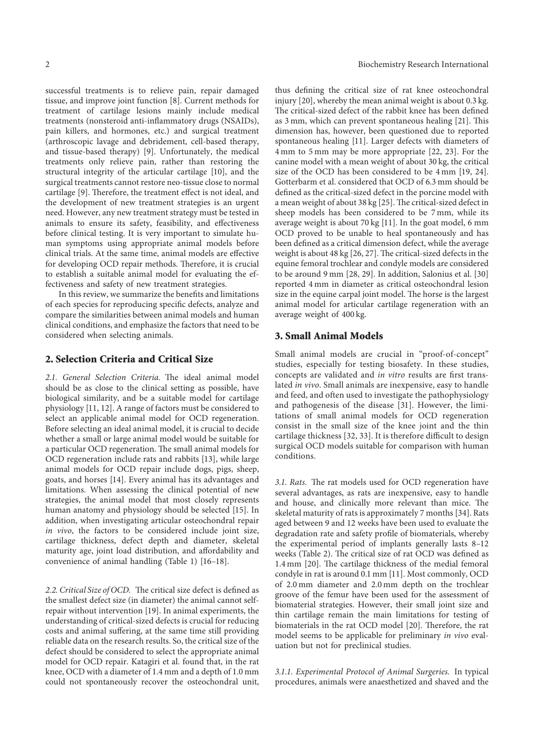successful treatments is to relieve pain, repair damaged tissue, and improve joint function [8]. Current methods for treatment of cartilage lesions mainly include medical treatments (nonsteroid anti-inflammatory drugs (NSAIDs), pain killers, and hormones, etc.) and surgical treatment (arthroscopic lavage and debridement, cell-based therapy, and tissue-based therapy) [9]. Unfortunately, the medical treatments only relieve pain, rather than restoring the structural integrity of the articular cartilage [10], and the surgical treatments cannot restore neo-tissue close to normal cartilage [9]. Therefore, the treatment effect is not ideal, and the development of new treatment strategies is an urgent need. However, any new treatment strategy must be tested in animals to ensure its safety, feasibility, and effectiveness before clinical testing. It is very important to simulate human symptoms using appropriate animal models before clinical trials. At the same time, animal models are effective for developing OCD repair methods. Therefore, it is crucial to establish a suitable animal model for evaluating the effectiveness and safety of new treatment strategies.

In this review, we summarize the benefits and limitations of each species for reproducing specific defects, analyze and compare the similarities between animal models and human clinical conditions, and emphasize the factors that need to be considered when selecting animals.

## 2. Selection Criteria and Critical Size

2.1. General Selection Criteria. The ideal animal model should be as close to the clinical setting as possible, have biological similarity, and be a suitable model for cartilage physiology [11, 12]. A range of factors must be considered to select an applicable animal model for OCD regeneration. Before selecting an ideal animal model, it is crucial to decide whether a small or large animal model would be suitable for a particular OCD regeneration. The small animal models for OCD regeneration include rats and rabbits [13], while large animal models for OCD repair include dogs, pigs, sheep, goats, and horses [14]. Every animal has its advantages and limitations. When assessing the clinical potential of new strategies, the animal model that most closely represents human anatomy and physiology should be selected [15]. In addition, when investigating articular osteochondral repair *in vivo*, the factors to be considered include joint size, cartilage thickness, defect depth and diameter, skeletal maturity age, joint load distribution, and affordability and convenience of animal handling (Table 1) [16–18].

2.2. Critical Size of OCD. The critical size defect is defined as the smallest defect size (in diameter) the animal cannot selfrepair without intervention [19]. In animal experiments, the understanding of critical-sized defects is crucial for reducing costs and animal suffering, at the same time still providing reliable data on the research results. So, the critical size of the defect should be considered to select the appropriate animal model for OCD repair. Katagiri et al. found that, in the rat knee, OCD with a diameter of 1.4 mm and a depth of 1.0 mm could not spontaneously recover the osteochondral unit,

thus defining the critical size of rat knee osteochondral injury [20], whereby the mean animal weight is about 0.3 kg. The critical-sized defect of the rabbit knee has been defined as  $3 \text{ mm}$ , which can prevent spontaneous healing  $[21]$ . This dimension has, however, been questioned due to reported spontaneous healing [11]. Larger defects with diameters of 4 mm to 5 mm may be more appropriate [22, 23]. For the canine model with a mean weight of about 30 kg, the critical size of the OCD has been considered to be 4 mm [19, 24]. Gotterbarm et al. considered that OCD of 6.3 mm should be defined as the critical-sized defect in the porcine model with a mean weight of about 38 kg [25]. The critical-sized defect in sheep models has been considered to be 7 mm, while its average weight is about 70 kg [11]. In the goat model, 6 mm OCD proved to be unable to heal spontaneously and has been defined as a critical dimension defect, while the average weight is about  $48 \text{ kg}$  [26, 27]. The critical-sized defects in the equine femoral trochlear and condyle models are considered to be around 9 mm [28, 29]. In addition, Salonius et al. [30] reported 4 mm in diameter as critical osteochondral lesion size in the equine carpal joint model. The horse is the largest animal model for articular cartilage regeneration with an average weight of 400 kg.

#### 3. Small Animal Models

Small animal models are crucial in "proof-of-concept" studies, especially for testing biosafety. In these studies, concepts are validated and *in vitro* results are first translated *in vivo*. Small animals are inexpensive, easy to handle and feed, and often used to investigate the pathophysiology and pathogenesis of the disease [31]. However, the limitations of small animal models for OCD regeneration consist in the small size of the knee joint and the thin cartilage thickness [32, 33]. It is therefore difficult to design surgical OCD models suitable for comparison with human conditions.

3.1. Rats. The rat models used for OCD regeneration have several advantages, as rats are inexpensive, easy to handle and house, and clinically more relevant than mice. The skeletal maturity of rats is approximately 7 months [34]. Rats aged between 9 and 12 weeks have been used to evaluate the degradation rate and safety profile of biomaterials, whereby the experimental period of implants generally lasts 8–12 weeks (Table 2). The critical size of rat OCD was defined as 1.4 mm [20]. The cartilage thickness of the medial femoral condyle in rat is around 0.1 mm [11]. Most commonly, OCD of 2.0 mm diameter and 2.0 mm depth on the trochlear groove of the femur have been used for the assessment of biomaterial strategies. However, their small joint size and thin cartilage remain the main limitations for testing of biomaterials in the rat OCD model [20]. Therefore, the rat model seems to be applicable for preliminary *in vivo* evaluation but not for preclinical studies.

*3.1.1. Experimental Protocol of Animal Surgeries.* In typical procedures, animals were anaesthetized and shaved and the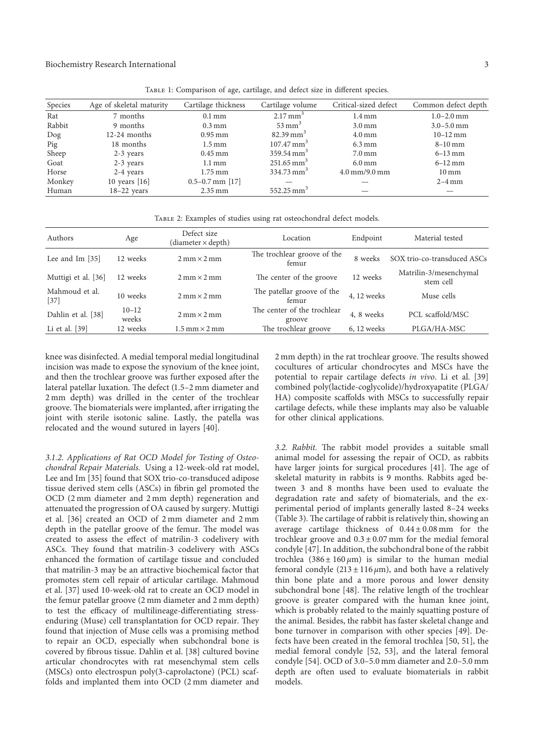| Species | Age of skeletal maturity | Cartilage thickness  | Cartilage volume         | Critical-sized defect                 | Common defect depth |
|---------|--------------------------|----------------------|--------------------------|---------------------------------------|---------------------|
| Rat     | 7 months                 | $0.1 \,\mathrm{mm}$  | $2.17 \text{ mm}^3$      | $1.4 \,\mathrm{mm}$                   | $1.0 - 2.0$ mm      |
| Rabbit  | 9 months                 | $0.3 \,\mathrm{mm}$  | $53 \text{ mm}^3$        | $3.0 \,\mathrm{mm}$                   | $3.0 - 5.0$ mm      |
| $\log$  | $12-24$ months           | $0.95$ mm            | $82.39 \text{ mm}^3$     | $4.0 \,\mathrm{mm}$                   | $10-12$ mm          |
| Pig     | 18 months                | $1.5 \,\mathrm{mm}$  | $107.47 \text{ mm}^3$    | $6.3 \text{ mm}$                      | $8-10$ mm           |
| Sheep   | $2-3$ years              | $0.45$ mm            | $359.54 \text{ mm}^3$    | $7.0 \,\mathrm{mm}$                   | $6 - 13$ mm         |
| Goat    | $2-3$ years              | $1.1 \,\mathrm{mm}$  | $251.65 \text{ mm}^3$    | $6.0 \,\mathrm{mm}$                   | $6-12$ mm           |
| Horse   | 2-4 years                | $1.75 \,\mathrm{mm}$ | $334.73$ mm <sup>3</sup> | $4.0 \,\mathrm{mm}/9.0 \,\mathrm{mm}$ | $10 \,\mathrm{mm}$  |
| Monkey  | 10 years $[16]$          | $0.5 - 0.7$ mm [17]  |                          |                                       | $2-4$ mm            |
| Human   | $18-22$ years            | $2.35 \,\mathrm{mm}$ | $552.25 \text{ mm}^3$    |                                       |                     |

TABLE 1: Comparison of age, cartilage, and defect size in different species.

Table 2: Examples of studies using rat osteochondral defect models.

| Authors                  | Age                | Defect size<br>$(diameter \times depth)$ | Location                              | Endpoint      | Material tested                     |
|--------------------------|--------------------|------------------------------------------|---------------------------------------|---------------|-------------------------------------|
| Lee and Im [35]          | 12 weeks           | $2 \text{ mm} \times 2 \text{ mm}$       | The trochlear groove of the<br>femur  | 8 weeks       | SOX trio-co-transduced ASCs         |
| Muttigi et al. [36]      | 12 weeks           | $2 \text{ mm} \times 2 \text{ mm}$       | The center of the groove              | 12 weeks      | Matrilin-3/mesenchymal<br>stem cell |
| Mahmoud et al.<br>$[37]$ | 10 weeks           | $2 \text{ mm} \times 2 \text{ mm}$       | The patellar groove of the<br>femur   | 4, 12 weeks   | Muse cells                          |
| Dahlin et al. [38]       | $10 - 12$<br>weeks | $2 \text{ mm} \times 2 \text{ mm}$       | The center of the trochlear<br>groove | 4, 8 weeks    | PCL scaffold/MSC                    |
| Li et al. [39]           | 12 weeks           | $1.5$ mm $\times$ 2 mm                   | The trochlear groove                  | $6, 12$ weeks | PLGA/HA-MSC                         |

knee was disinfected. A medial temporal medial longitudinal incision was made to expose the synovium of the knee joint, and then the trochlear groove was further exposed after the lateral patellar luxation. The defect (1.5–2 mm diameter and 2 mm depth) was drilled in the center of the trochlear groove. The biomaterials were implanted, after irrigating the joint with sterile isotonic saline. Lastly, the patella was relocated and the wound sutured in layers [40].

*3.1.2. Applications of Rat OCD Model for Testing of Osteochondral Repair Materials.* Using a 12-week-old rat model, Lee and Im [35] found that SOX trio-co-transduced adipose tissue derived stem cells (ASCs) in fibrin gel promoted the OCD (2 mm diameter and 2 mm depth) regeneration and attenuated the progression of OA caused by surgery. Muttigi et al. [36] created an OCD of 2 mm diameter and 2 mm depth in the patellar groove of the femur. The model was created to assess the effect of matrilin-3 codelivery with ASCs. They found that matrilin-3 codelivery with ASCs enhanced the formation of cartilage tissue and concluded that matrilin-3 may be an attractive biochemical factor that promotes stem cell repair of articular cartilage. Mahmoud et al. [37] used 10-week-old rat to create an OCD model in the femur patellar groove (2 mm diameter and 2 mm depth) to test the efficacy of multilineage-differentiating stressenduring (Muse) cell transplantation for OCD repair. They found that injection of Muse cells was a promising method to repair an OCD, especially when subchondral bone is covered by fibrous tissue. Dahlin et al. [38] cultured bovine articular chondrocytes with rat mesenchymal stem cells (MSCs) onto electrospun poly(3-caprolactone) (PCL) scaffolds and implanted them into OCD (2 mm diameter and

2 mm depth) in the rat trochlear groove. The results showed cocultures of articular chondrocytes and MSCs have the potential to repair cartilage defects *in vivo*. Li et al. [39] combined poly(lactide-coglycolide)/hydroxyapatite (PLGA/ HA) composite scaffolds with MSCs to successfully repair cartilage defects, while these implants may also be valuable for other clinical applications.

3.2. Rabbit. The rabbit model provides a suitable small animal model for assessing the repair of OCD, as rabbits have larger joints for surgical procedures [41]. The age of skeletal maturity in rabbits is 9 months. Rabbits aged between 3 and 8 months have been used to evaluate the degradation rate and safety of biomaterials, and the experimental period of implants generally lasted 8–24 weeks (Table 3). The cartilage of rabbit is relatively thin, showing an average cartilage thickness of  $0.44 \pm 0.08$  mm for the trochlear groove and  $0.3 \pm 0.07$  mm for the medial femoral condyle [47]. In addition, the subchondral bone of the rabbit trochlea  $(386 \pm 160 \mu m)$  is similar to the human medial femoral condyle  $(213 \pm 116 \,\mu\text{m})$ , and both have a relatively thin bone plate and a more porous and lower density subchondral bone [48]. The relative length of the trochlear groove is greater compared with the human knee joint, which is probably related to the mainly squatting posture of the animal. Besides, the rabbit has faster skeletal change and bone turnover in comparison with other species [49]. Defects have been created in the femoral trochlea [50, 51], the medial femoral condyle [52, 53], and the lateral femoral condyle [54]. OCD of 3.0–5.0 mm diameter and 2.0–5.0 mm depth are often used to evaluate biomaterials in rabbit models.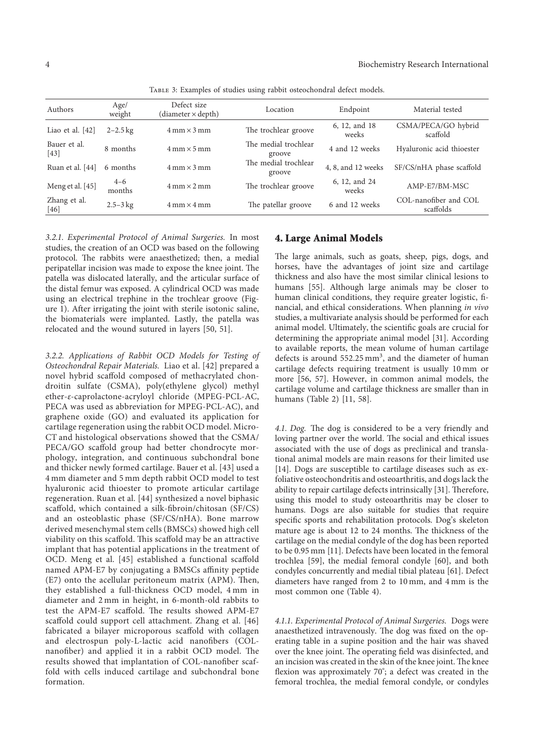| Authors                | Age/<br>weight    | Defect size<br>(diameter × depth)  | Location                       | Endpoint               | Material tested                    |
|------------------------|-------------------|------------------------------------|--------------------------------|------------------------|------------------------------------|
| Liao et al. $[42]$     | $2 - 2.5$ kg      | $4 \text{ mm} \times 3 \text{ mm}$ | The trochlear groove           | 6, 12, and 18<br>weeks | CSMA/PECA/GO hybrid<br>scaffold    |
| Bauer et al.<br>[43]   | 8 months          | $4 \text{ mm} \times 5 \text{ mm}$ | The medial trochlear<br>groove | 4 and 12 weeks         | Hyaluronic acid thioester          |
| Ruan et al. [44]       | 6 months          | $4 \text{ mm} \times 3 \text{ mm}$ | The medial trochlear<br>groove | 4, 8, and 12 weeks     | SF/CS/nHA phase scaffold           |
| Meng et al. [45]       | $4 - 6$<br>months | $4 \text{ mm} \times 2 \text{ mm}$ | The trochlear groove           | 6, 12, and 24<br>weeks | AMP-E7/BM-MSC                      |
| Zhang et al.<br>$[46]$ | $2.5 - 3$ kg      | $4 \text{ mm} \times 4 \text{ mm}$ | The patellar groove            | 6 and 12 weeks         | COL-nanofiber and COL<br>scaffolds |

Table 3: Examples of studies using rabbit osteochondral defect models.

*3.2.1. Experimental Protocol of Animal Surgeries.* In most studies, the creation of an OCD was based on the following protocol. The rabbits were anaesthetized; then, a medial peripatellar incision was made to expose the knee joint. The patella was dislocated laterally, and the articular surface of the distal femur was exposed. A cylindrical OCD was made using an electrical trephine in the trochlear groove (Figure 1). After irrigating the joint with sterile isotonic saline, the biomaterials were implanted. Lastly, the patella was relocated and the wound sutured in layers [50, 51].

*3.2.2. Applications of Rabbit OCD Models for Testing of Osteochondral Repair Materials.* Liao et al. [42] prepared a novel hybrid scaffold composed of methacrylated chondroitin sulfate (CSMA), poly(ethylene glycol) methyl ether-ε-caprolactone-acryloyl chloride (MPEG-PCL-AC, PECA was used as abbreviation for MPEG-PCL-AC), and graphene oxide (GO) and evaluated its application for cartilage regeneration using the rabbit OCD model. Micro-CT and histological observations showed that the CSMA/ PECA/GO scaffold group had better chondrocyte morphology, integration, and continuous subchondral bone and thicker newly formed cartilage. Bauer et al. [43] used a 4 mm diameter and 5 mm depth rabbit OCD model to test hyaluronic acid thioester to promote articular cartilage regeneration. Ruan et al. [44] synthesized a novel biphasic scaffold, which contained a silk-fibroin/chitosan (SF/CS) and an osteoblastic phase (SF/CS/nHA). Bone marrow derived mesenchymal stem cells (BMSCs) showed high cell viability on this scaffold. This scaffold may be an attractive implant that has potential applications in the treatment of OCD. Meng et al. [45] established a functional scaffold named APM-E7 by conjugating a BMSCs affinity peptide (E7) onto the acellular peritoneum matrix (APM). Then, they established a full-thickness OCD model, 4 mm in diameter and 2 mm in height, in 6-month-old rabbits to test the APM-E7 scaffold. The results showed APM-E7 scaffold could support cell attachment. Zhang et al. [46] fabricated a bilayer microporous scaffold with collagen and electrospun poly-L-lactic acid nanofibers (COLnanofiber) and applied it in a rabbit OCD model. The results showed that implantation of COL-nanofiber scaffold with cells induced cartilage and subchondral bone formation.

## 4. Large Animal Models

The large animals, such as goats, sheep, pigs, dogs, and horses, have the advantages of joint size and cartilage thickness and also have the most similar clinical lesions to humans [55]. Although large animals may be closer to human clinical conditions, they require greater logistic, financial, and ethical considerations. When planning *in vivo* studies, a multivariate analysis should be performed for each animal model. Ultimately, the scientific goals are crucial for determining the appropriate animal model [31]. According to available reports, the mean volume of human cartilage defects is around 552.25 mm<sup>3</sup>, and the diameter of human cartilage defects requiring treatment is usually 10 mm or more [56, 57]. However, in common animal models, the cartilage volume and cartilage thickness are smaller than in humans (Table 2) [11, 58].

4.1. Dog. The dog is considered to be a very friendly and loving partner over the world. The social and ethical issues associated with the use of dogs as preclinical and translational animal models are main reasons for their limited use [14]. Dogs are susceptible to cartilage diseases such as exfoliative osteochondritis and osteoarthritis, and dogs lack the ability to repair cartilage defects intrinsically  $[31]$ . Therefore, using this model to study osteoarthritis may be closer to humans. Dogs are also suitable for studies that require specific sports and rehabilitation protocols. Dog's skeleton mature age is about 12 to 24 months. The thickness of the cartilage on the medial condyle of the dog has been reported to be 0.95 mm [11]. Defects have been located in the femoral trochlea [59], the medial femoral condyle [60], and both condyles concurrently and medial tibial plateau [61]. Defect diameters have ranged from 2 to 10 mm, and 4 mm is the most common one (Table 4).

*4.1.1. Experimental Protocol of Animal Surgeries.* Dogs were anaesthetized intravenously. The dog was fixed on the operating table in a supine position and the hair was shaved over the knee joint. The operating field was disinfected, and an incision was created in the skin of the knee joint. The knee flexion was approximately 70°; a defect was created in the femoral trochlea, the medial femoral condyle, or condyles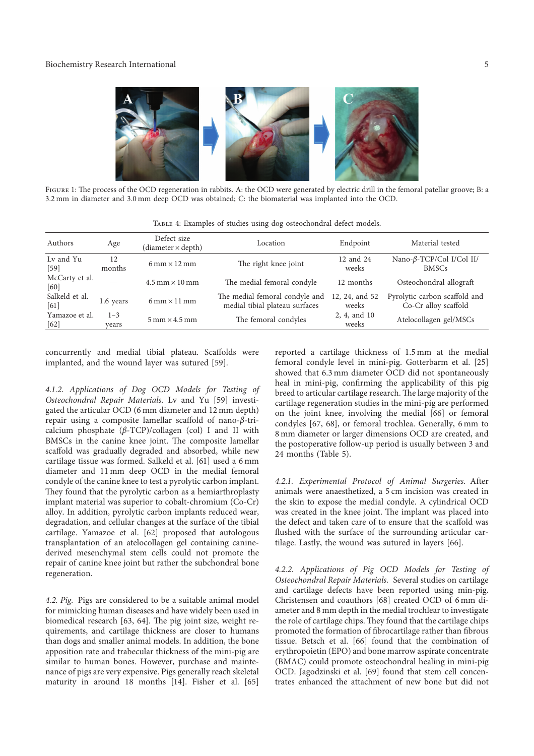

FIGURE 1: The process of the OCD regeneration in rabbits. A: the OCD were generated by electric drill in the femoral patellar groove; B: a 3.2 mm in diameter and 3.0 mm deep OCD was obtained; C: the biomaterial was implanted into the OCD.

| Authors                  | Age              | Defect size<br>(diameter × depth)    | Location                                                         | Endpoint                | Material tested                                       |
|--------------------------|------------------|--------------------------------------|------------------------------------------------------------------|-------------------------|-------------------------------------------------------|
| Ly and Yu<br>[59]        | 12<br>months     | $6 \text{ mm} \times 12 \text{ mm}$  | The right knee joint                                             | 12 and 24<br>weeks      | Nano-β-TCP/Col I/Col II/<br><b>BMSCs</b>              |
| McCarty et al.<br>[60]   |                  | $4.5$ mm $\times$ 10 mm              | The medial femoral condyle                                       | 12 months               | Osteochondral allograft                               |
| Salkeld et al.<br>[61]   | 1.6 years        | $6 \text{ mm} \times 11 \text{ mm}$  | The medial femoral condyle and<br>medial tibial plateau surfaces | 12, 24, and 52<br>weeks | Pyrolytic carbon scaffold and<br>Co-Cr alloy scaffold |
| Yamazoe et al.<br>$[62]$ | $1 - 3$<br>vears | $5 \text{ mm} \times 4.5 \text{ mm}$ | The femoral condyles                                             | 2, 4, and 10<br>weeks   | Atelocollagen gel/MSCs                                |

Table 4: Examples of studies using dog osteochondral defect models.

concurrently and medial tibial plateau. Scaffolds were implanted, and the wound layer was sutured [59].

*4.1.2. Applications of Dog OCD Models for Testing of Osteochondral Repair Materials.* Lv and Yu [59] investigated the articular OCD (6 mm diameter and 12 mm depth) repair using a composite lamellar scaffold of nano-β-tricalcium phosphate  $(\beta$ -TCP)/collagen (col) I and II with BMSCs in the canine knee joint. The composite lamellar scaffold was gradually degraded and absorbed, while new cartilage tissue was formed. Salkeld et al. [61] used a 6 mm diameter and 11 mm deep OCD in the medial femoral condyle of the canine knee to test a pyrolytic carbon implant. They found that the pyrolytic carbon as a hemiarthroplasty implant material was superior to cobalt-chromium (Co-Cr) alloy. In addition, pyrolytic carbon implants reduced wear, degradation, and cellular changes at the surface of the tibial cartilage. Yamazoe et al. [62] proposed that autologous transplantation of an atelocollagen gel containing caninederived mesenchymal stem cells could not promote the repair of canine knee joint but rather the subchondral bone regeneration.

*4.2. Pig.* Pigs are considered to be a suitable animal model for mimicking human diseases and have widely been used in biomedical research [63, 64]. The pig joint size, weight requirements, and cartilage thickness are closer to humans than dogs and smaller animal models. In addition, the bone apposition rate and trabecular thickness of the mini-pig are similar to human bones. However, purchase and maintenance of pigs are very expensive. Pigs generally reach skeletal maturity in around 18 months [14]. Fisher et al. [65] reported a cartilage thickness of 1.5 mm at the medial femoral condyle level in mini-pig. Gotterbarm et al. [25] showed that 6.3 mm diameter OCD did not spontaneously heal in mini-pig, confirming the applicability of this pig breed to articular cartilage research. The large majority of the cartilage regeneration studies in the mini-pig are performed on the joint knee, involving the medial [66] or femoral condyles [67, 68], or femoral trochlea. Generally, 6 mm to 8 mm diameter or larger dimensions OCD are created, and the postoperative follow-up period is usually between 3 and 24 months (Table 5).

*4.2.1. Experimental Protocol of Animal Surgeries.* After animals were anaesthetized, a 5 cm incision was created in the skin to expose the medial condyle. A cylindrical OCD was created in the knee joint. The implant was placed into the defect and taken care of to ensure that the scaffold was flushed with the surface of the surrounding articular cartilage. Lastly, the wound was sutured in layers [66].

*4.2.2. Applications of Pig OCD Models for Testing of Osteochondral Repair Materials.* Several studies on cartilage and cartilage defects have been reported using min-pig. Christensen and coauthors [68] created OCD of 6 mm diameter and 8 mm depth in the medial trochlear to investigate the role of cartilage chips. They found that the cartilage chips promoted the formation of fibrocartilage rather than fibrous tissue. Betsch et al. [66] found that the combination of erythropoietin (EPO) and bone marrow aspirate concentrate (BMAC) could promote osteochondral healing in mini-pig OCD. Jagodzinski et al. [69] found that stem cell concentrates enhanced the attachment of new bone but did not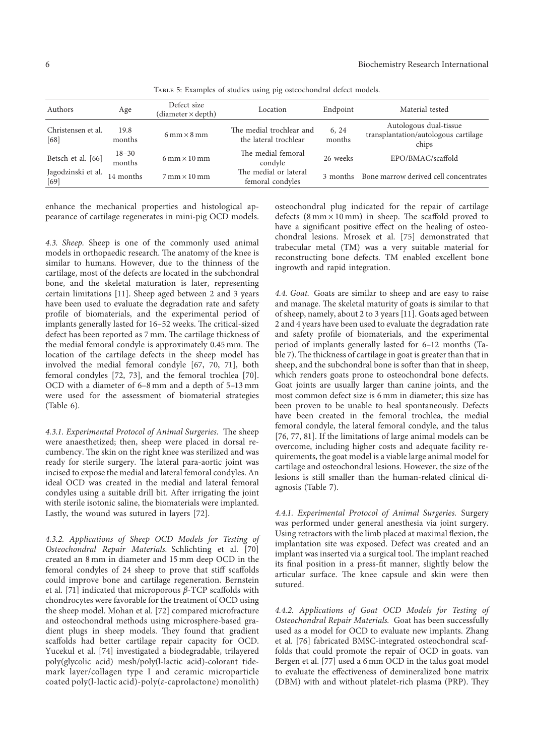| Authors                    | Age                 | Defect size<br>$(diameter \times depth)$ | Location                                          | Endpoint        | Material tested                                                         |
|----------------------------|---------------------|------------------------------------------|---------------------------------------------------|-----------------|-------------------------------------------------------------------------|
| Christensen et al.<br>[68] | 19.8<br>months      | $6 \text{ mm} \times 8 \text{ mm}$       | The medial trochlear and<br>the lateral trochlear | 6, 24<br>months | Autologous dual-tissue<br>transplantation/autologous cartilage<br>chips |
| Betsch et al. [66]         | $18 - 30$<br>months | $6 \text{ mm} \times 10 \text{ mm}$      | The medial femoral<br>condyle                     | 26 weeks        | EPO/BMAC/scaffold                                                       |
| Jagodzinski et al.<br>[69] | 14 months           | $7 \text{ mm} \times 10 \text{ mm}$      | The medial or lateral<br>femoral condyles         | 3 months        | Bone marrow derived cell concentrates                                   |

Table 5: Examples of studies using pig osteochondral defect models.

enhance the mechanical properties and histological appearance of cartilage regenerates in mini-pig OCD models.

*4.3. Sheep.* Sheep is one of the commonly used animal models in orthopaedic research. The anatomy of the knee is similar to humans. However, due to the thinness of the cartilage, most of the defects are located in the subchondral bone, and the skeletal maturation is later, representing certain limitations [11]. Sheep aged between 2 and 3 years have been used to evaluate the degradation rate and safety profile of biomaterials, and the experimental period of implants generally lasted for 16-52 weeks. The critical-sized defect has been reported as 7 mm. The cartilage thickness of the medial femoral condyle is approximately 0.45 mm. The location of the cartilage defects in the sheep model has involved the medial femoral condyle [67, 70, 71], both femoral condyles [72, 73], and the femoral trochlea [70]. OCD with a diameter of 6–8 mm and a depth of 5–13 mm were used for the assessment of biomaterial strategies (Table 6).

4.3.1. Experimental Protocol of Animal Surgeries. The sheep were anaesthetized; then, sheep were placed in dorsal recumbency. The skin on the right knee was sterilized and was ready for sterile surgery. The lateral para-aortic joint was incised to expose the medial and lateral femoral condyles. An ideal OCD was created in the medial and lateral femoral condyles using a suitable drill bit. After irrigating the joint with sterile isotonic saline, the biomaterials were implanted. Lastly, the wound was sutured in layers [72].

*4.3.2. Applications of Sheep OCD Models for Testing of Osteochondral Repair Materials.* Schlichting et al. [70] created an 8 mm in diameter and 15 mm deep OCD in the femoral condyles of 24 sheep to prove that stiff scaffolds could improve bone and cartilage regeneration. Bernstein et al. [71] indicated that microporous  $β$ -TCP scaffolds with chondrocytes were favorable for the treatment of OCD using the sheep model. Mohan et al. [72] compared microfracture and osteochondral methods using microsphere-based gradient plugs in sheep models. They found that gradient scaffolds had better cartilage repair capacity for OCD. Yucekul et al. [74] investigated a biodegradable, trilayered poly(glycolic acid) mesh/poly(l-lactic acid)-colorant tidemark layer/collagen type I and ceramic microparticle coated poly(l-lactic acid)-poly(ε-caprolactone) monolith)

osteochondral plug indicated for the repair of cartilage defects  $(8 \text{ mm} \times 10 \text{ mm})$  in sheep. The scaffold proved to have a significant positive effect on the healing of osteochondral lesions. Mrosek et al. [75] demonstrated that trabecular metal (TM) was a very suitable material for reconstructing bone defects. TM enabled excellent bone ingrowth and rapid integration.

*4.4. Goat.* Goats are similar to sheep and are easy to raise and manage. The skeletal maturity of goats is similar to that of sheep, namely, about 2 to 3 years [11]. Goats aged between 2 and 4 years have been used to evaluate the degradation rate and safety profile of biomaterials, and the experimental period of implants generally lasted for 6–12 months (Table 7). The thickness of cartilage in goat is greater than that in sheep, and the subchondral bone is softer than that in sheep, which renders goats prone to osteochondral bone defects. Goat joints are usually larger than canine joints, and the most common defect size is 6 mm in diameter; this size has been proven to be unable to heal spontaneously. Defects have been created in the femoral trochlea, the medial femoral condyle, the lateral femoral condyle, and the talus [76, 77, 81]. If the limitations of large animal models can be overcome, including higher costs and adequate facility requirements, the goat model is a viable large animal model for cartilage and osteochondral lesions. However, the size of the lesions is still smaller than the human-related clinical diagnosis (Table 7).

*4.4.1. Experimental Protocol of Animal Surgeries.* Surgery was performed under general anesthesia via joint surgery. Using retractors with the limb placed at maximal flexion, the implantation site was exposed. Defect was created and an implant was inserted via a surgical tool. The implant reached its final position in a press-fit manner, slightly below the articular surface. The knee capsule and skin were then sutured.

*4.4.2. Applications of Goat OCD Models for Testing of Osteochondral Repair Materials.* Goat has been successfully used as a model for OCD to evaluate new implants. Zhang et al. [76] fabricated BMSC-integrated osteochondral scaffolds that could promote the repair of OCD in goats. van Bergen et al. [77] used a 6 mm OCD in the talus goat model to evaluate the effectiveness of demineralized bone matrix (DBM) with and without platelet-rich plasma (PRP). They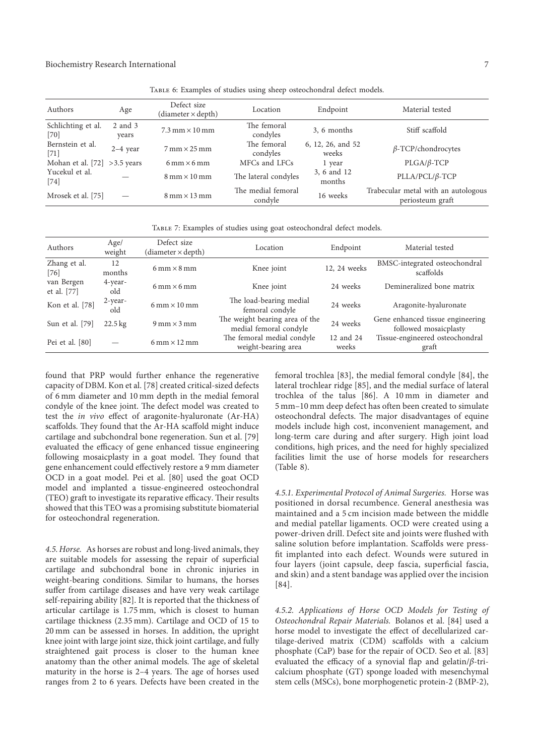| Authors                      | Age              | Defect size<br>(diameter × depth)   | Location                      | Endpoint                   | Material tested                                         |
|------------------------------|------------------|-------------------------------------|-------------------------------|----------------------------|---------------------------------------------------------|
| Schlichting et al.<br>$[70]$ | 2 and 3<br>years | $7.3$ mm $\times$ 10 mm             | The femoral<br>condyles       | 3, 6 months                | Stiff scaffold                                          |
| Bernstein et al.<br>$[71]$   | $2-4$ year       | $7 \text{ mm} \times 25 \text{ mm}$ | The femoral<br>condyles       | 6, 12, 26, and 52<br>weeks | $\beta$ -TCP/chondrocytes                               |
| Mohan et al. [72]            | $>3.5$ years     | $6 \text{ mm} \times 6 \text{ mm}$  | MFCs and LFCs                 | 1 year                     | $PLGA/\beta$ -TCP                                       |
| Yucekul et al.<br>$[74]$     |                  | $8 \text{ mm} \times 10 \text{ mm}$ | The lateral condyles          | 3, 6 and 12<br>months      | $PLLA/ PCL/\beta$ -TCP                                  |
| Mrosek et al. [75]           |                  | $8 \text{ mm} \times 13 \text{ mm}$ | The medial femoral<br>condyle | 16 weeks                   | Trabecular metal with an autologous<br>periosteum graft |

Table 6: Examples of studies using sheep osteochondral defect models.

| TABLE 7: Examples of studies using goat osteochondral defect models. |  |  |  |  |  |
|----------------------------------------------------------------------|--|--|--|--|--|
|----------------------------------------------------------------------|--|--|--|--|--|

| Authors                   | Age/<br>weight    | Defect size<br>$(diameter \times depth)$ | Location                                                 | Endpoint           | Material tested                                           |
|---------------------------|-------------------|------------------------------------------|----------------------------------------------------------|--------------------|-----------------------------------------------------------|
| Zhang et al.<br>[76]      | 12<br>months      | $6 \text{ mm} \times 8 \text{ mm}$       | Knee joint                                               | 12, 24 weeks       | BMSC-integrated osteochondral<br>scaffolds                |
| van Bergen<br>et al. [77] | 4-year-<br>old    | $6 \text{ mm} \times 6 \text{ mm}$       | Knee joint                                               | 24 weeks           | Demineralized bone matrix                                 |
| Kon et al. [78]           | 2-year-<br>old    | $6 \text{ mm} \times 10 \text{ mm}$      | The load-bearing medial<br>femoral condyle               | 24 weeks           | Aragonite-hyaluronate                                     |
| Sun et al. [79]           | $22.5 \text{ kg}$ | $9 \text{ mm} \times 3 \text{ mm}$       | The weight bearing area of the<br>medial femoral condyle | 24 weeks           | Gene enhanced tissue engineering<br>followed mosaicplasty |
| Pei et al. [80]           |                   | $6 \text{ mm} \times 12 \text{ mm}$      | The femoral medial condyle<br>weight-bearing area        | 12 and 24<br>weeks | Tissue-engineered osteochondral<br>graft                  |

found that PRP would further enhance the regenerative capacity of DBM. Kon et al. [78] created critical-sized defects of 6 mm diameter and 10 mm depth in the medial femoral condyle of the knee joint. The defect model was created to test the *in vivo* effect of aragonite-hyaluronate (Ar-HA) scaffolds. They found that the Ar-HA scaffold might induce cartilage and subchondral bone regeneration. Sun et al. [79] evaluated the efficacy of gene enhanced tissue engineering following mosaicplasty in a goat model. They found that gene enhancement could effectively restore a 9 mm diameter OCD in a goat model. Pei et al. [80] used the goat OCD model and implanted a tissue-engineered osteochondral (TEO) graft to investigate its reparative efficacy. Their results showed that this TEO was a promising substitute biomaterial for osteochondral regeneration.

*4.5. Horse.* As horses are robust and long-lived animals, they are suitable models for assessing the repair of superficial cartilage and subchondral bone in chronic injuries in weight-bearing conditions. Similar to humans, the horses suffer from cartilage diseases and have very weak cartilage self-repairing ability [82]. It is reported that the thickness of articular cartilage is 1.75 mm, which is closest to human cartilage thickness (2.35 mm). Cartilage and OCD of 15 to 20 mm can be assessed in horses. In addition, the upright knee joint with large joint size, thick joint cartilage, and fully straightened gait process is closer to the human knee anatomy than the other animal models. The age of skeletal maturity in the horse is  $2-4$  years. The age of horses used ranges from 2 to 6 years. Defects have been created in the

femoral trochlea [83], the medial femoral condyle [84], the lateral trochlear ridge [85], and the medial surface of lateral trochlea of the talus [86]. A 10 mm in diameter and 5 mm–10 mm deep defect has often been created to simulate osteochondral defects. The major disadvantages of equine models include high cost, inconvenient management, and long-term care during and after surgery. High joint load conditions, high prices, and the need for highly specialized facilities limit the use of horse models for researchers (Table 8).

*4.5.1. Experimental Protocol of Animal Surgeries.* Horse was positioned in dorsal recumbence. General anesthesia was maintained and a 5 cm incision made between the middle and medial patellar ligaments. OCD were created using a power-driven drill. Defect site and joints were flushed with saline solution before implantation. Scaffolds were pressfit implanted into each defect. Wounds were sutured in four layers (joint capsule, deep fascia, superficial fascia, and skin) and a stent bandage was applied over the incision [84].

*4.5.2. Applications of Horse OCD Models for Testing of Osteochondral Repair Materials.* Bolanos et al. [84] used a horse model to investigate the effect of decellularized cartilage-derived matrix (CDM) scaffolds with a calcium phosphate (CaP) base for the repair of OCD. Seo et al. [83] evaluated the efficacy of a synovial flap and gelatin/ $\beta$ -tricalcium phosphate (GT) sponge loaded with mesenchymal stem cells (MSCs), bone morphogenetic protein-2 (BMP-2),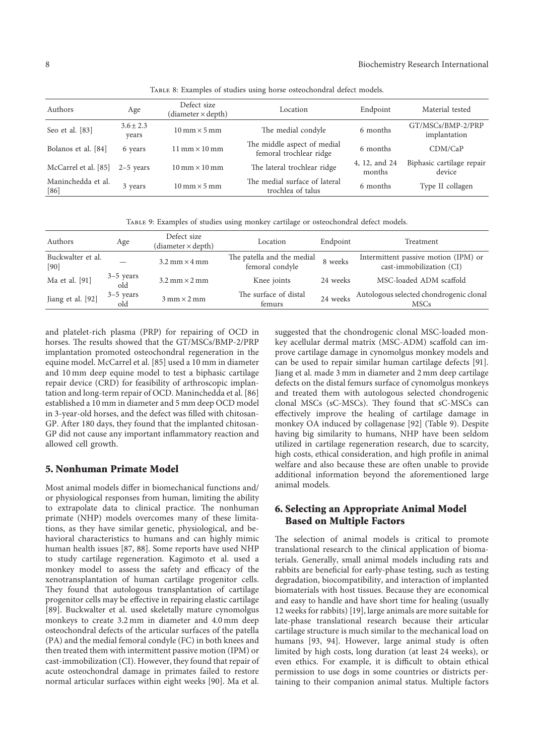Table 8: Examples of studies using horse osteochondral defect models.

| Authors                      | Age                    | Defect size<br>$(diameter \times depth)$ | Location                                               | Endpoint                | Material tested                     |
|------------------------------|------------------------|------------------------------------------|--------------------------------------------------------|-------------------------|-------------------------------------|
| Seo et al. [83]              | $3.6 \pm 2.3$<br>years | $10 \text{ mm} \times 5 \text{ mm}$      | The medial condyle                                     | 6 months                | GT/MSCs/BMP-2/PRP<br>implantation   |
| Bolanos et al. [84]          | 6 years                | $11 \text{ mm} \times 10 \text{ mm}$     | The middle aspect of medial<br>femoral trochlear ridge | 6 months                | CDM/CaP                             |
| McCarrel et al. [85]         | $2-5$ years            | $10 \text{ mm} \times 10 \text{ mm}$     | The lateral trochlear ridge                            | 4, 12, and 24<br>months | Biphasic cartilage repair<br>device |
| Maninchedda et al.<br>$[86]$ | 3 years                | $10 \text{ mm} \times 5 \text{ mm}$      | The medial surface of lateral<br>trochlea of talus     | 6 months                | Type II collagen                    |

TABLE 9: Examples of studies using monkey cartilage or osteochondral defect models.

| Authors                     | Age                | Defect size<br>(diameter $\times$ depth) | Location                                      | Endpoint | Treatment                                                        |
|-----------------------------|--------------------|------------------------------------------|-----------------------------------------------|----------|------------------------------------------------------------------|
| Buckwalter et al.<br>$[90]$ |                    | $3.2$ mm $\times$ 4 mm                   | The patella and the medial<br>femoral condyle | 8 weeks  | Intermittent passive motion (IPM) or<br>cast-immobilization (CI) |
| Ma et al. [91]              | $3-5$ years<br>old | $3.2$ mm $\times$ 2 mm                   | Knee joints                                   | 24 weeks | MSC-loaded ADM scaffold                                          |
| Jiang et al. [92]           | $3-5$ years<br>old | $3 \text{ mm} \times 2 \text{ mm}$       | The surface of distal<br>femurs               | 24 weeks | Autologous selected chondrogenic clonal<br><b>MSCs</b>           |

and platelet-rich plasma (PRP) for repairing of OCD in horses. The results showed that the GT/MSCs/BMP-2/PRP implantation promoted osteochondral regeneration in the equine model. McCarrel et al. [85] used a 10 mm in diameter and 10 mm deep equine model to test a biphasic cartilage repair device (CRD) for feasibility of arthroscopic implantation and long-term repair of OCD. Maninchedda et al. [86] established a 10 mm in diameter and 5 mm deep OCD model in 3-year-old horses, and the defect was filled with chitosan-GP. After 180 days, they found that the implanted chitosan-GP did not cause any important inflammatory reaction and allowed cell growth.

#### 5. Nonhuman Primate Model

Most animal models differ in biomechanical functions and/ or physiological responses from human, limiting the ability to extrapolate data to clinical practice. The nonhuman primate (NHP) models overcomes many of these limitations, as they have similar genetic, physiological, and behavioral characteristics to humans and can highly mimic human health issues [87, 88]. Some reports have used NHP to study cartilage regeneration. Kagimoto et al. used a monkey model to assess the safety and efficacy of the xenotransplantation of human cartilage progenitor cells. They found that autologous transplantation of cartilage progenitor cells may be effective in repairing elastic cartilage [89]. Buckwalter et al. used skeletally mature cynomolgus monkeys to create 3.2 mm in diameter and 4.0 mm deep osteochondral defects of the articular surfaces of the patella (PA) and the medial femoral condyle (FC) in both knees and then treated them with intermittent passive motion (IPM) or cast-immobilization (CI). However, they found that repair of acute osteochondral damage in primates failed to restore normal articular surfaces within eight weeks [90]. Ma et al.

suggested that the chondrogenic clonal MSC-loaded monkey acellular dermal matrix (MSC-ADM) scaffold can improve cartilage damage in cynomolgus monkey models and can be used to repair similar human cartilage defects [91]. Jiang et al. made 3 mm in diameter and 2 mm deep cartilage defects on the distal femurs surface of cynomolgus monkeys and treated them with autologous selected chondrogenic clonal MSCs (sC-MSCs). They found that sC-MSCs can effectively improve the healing of cartilage damage in monkey OA induced by collagenase [92] (Table 9). Despite having big similarity to humans, NHP have been seldom utilized in cartilage regeneration research, due to scarcity, high costs, ethical consideration, and high profile in animal welfare and also because these are often unable to provide additional information beyond the aforementioned large animal models.

## 6. Selecting an Appropriate Animal Model Based on Multiple Factors

The selection of animal models is critical to promote translational research to the clinical application of biomaterials. Generally, small animal models including rats and rabbits are beneficial for early-phase testing, such as testing degradation, biocompatibility, and interaction of implanted biomaterials with host tissues. Because they are economical and easy to handle and have short time for healing (usually 12 weeks for rabbits) [19], large animals are more suitable for late-phase translational research because their articular cartilage structure is much similar to the mechanical load on humans [93, 94]. However, large animal study is often limited by high costs, long duration (at least 24 weeks), or even ethics. For example, it is difficult to obtain ethical permission to use dogs in some countries or districts pertaining to their companion animal status. Multiple factors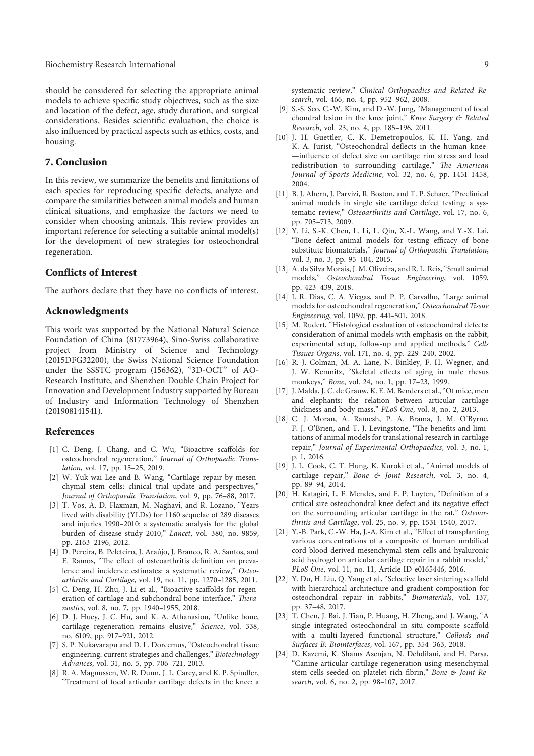should be considered for selecting the appropriate animal models to achieve specific study objectives, such as the size and location of the defect, age, study duration, and surgical considerations. Besides scientific evaluation, the choice is also influenced by practical aspects such as ethics, costs, and housing.

## 7. Conclusion

In this review, we summarize the benefits and limitations of each species for reproducing specific defects, analyze and compare the similarities between animal models and human clinical situations, and emphasize the factors we need to consider when choosing animals. This review provides an important reference for selecting a suitable animal model(s) for the development of new strategies for osteochondral regeneration.

#### Conflicts of Interest

The authors declare that they have no conflicts of interest.

## Acknowledgments

This work was supported by the National Natural Science Foundation of China (81773964), Sino-Swiss collaborative project from Ministry of Science and Technology (2015DFG32200), the Swiss National Science Foundation under the SSSTC program (156362), "3D-OCT" of AO-Research Institute, and Shenzhen Double Chain Project for Innovation and Development Industry supported by Bureau of Industry and Information Technology of Shenzhen (201908141541).

#### References

- [1] C. Deng, J. Chang, and C. Wu, "Bioactive scaffolds for osteochondral regeneration," *Journal of Orthopaedic Translation*, vol. 17, pp. 15–25, 2019.
- [2] W. Yuk-wai Lee and B. Wang, "Cartilage repair by mesenchymal stem cells: clinical trial update and perspectives," *Journal of Orthopaedic Translation*, vol. 9, pp. 76–88, 2017.
- [3] T. Vos, A. D. Flaxman, M. Naghavi, and R. Lozano, "Years lived with disability (YLDs) for 1160 sequelae of 289 diseases and injuries 1990–2010: a systematic analysis for the global burden of disease study 2010," *Lancet*, vol. 380, no. 9859, pp. 2163–2196, 2012.
- [4] D. Pereira, B. Peleteiro, J. Araújo, J. Branco, R. A. Santos, and E. Ramos, "The effect of osteoarthritis definition on prevalence and incidence estimates: a systematic review," *Osteoarthritis and Cartilage*, vol. 19, no. 11, pp. 1270–1285, 2011.
- [5] C. Deng, H. Zhu, J. Li et al., "Bioactive scaffolds for regeneration of cartilage and subchondral bone interface," Thera*nostics*, vol. 8, no. 7, pp. 1940–1955, 2018.
- [6] D. J. Huey, J. C. Hu, and K. A. Athanasiou, "Unlike bone, cartilage regeneration remains elusive," *Science*, vol. 338, no. 6109, pp. 917–921, 2012.
- [7] S. P. Nukavarapu and D. L. Dorcemus, "Osteochondral tissue engineering: current strategies and challenges," *Biotechnology Advances*, vol. 31, no. 5, pp. 706–721, 2013.
- [8] R. A. Magnussen, W. R. Dunn, J. L. Carey, and K. P. Spindler, "Treatment of focal articular cartilage defects in the knee: a

systematic review," *Clinical Orthopaedics and Related Research*, vol. 466, no. 4, pp. 952–962, 2008.

- [9] S.-S. Seo, C.-W. Kim, and D.-W. Jung, "Management of focal chondral lesion in the knee joint," *Knee Surgery & Related Research*, vol. 23, no. 4, pp. 185–196, 2011.
- [10] J. H. Guettler, C. K. Demetropoulos, K. H. Yang, and K. A. Jurist, "Osteochondral deflects in the human knee-—in%uence of defect size on cartilage rim stress and load redistribution to surrounding cartilage," *The American Journal of Sports Medicine*, vol. 32, no. 6, pp. 1451–1458, 2004.
- [11] B. J. Ahern, J. Parvizi, R. Boston, and T. P. Schaer, "Preclinical animal models in single site cartilage defect testing: a systematic review," *Osteoarthritis and Cartilage*, vol. 17, no. 6, pp. 705–713, 2009.
- [12] Y. Li, S.-K. Chen, L. Li, L. Qin, X.-L. Wang, and Y.-X. Lai, "Bone defect animal models for testing efficacy of bone substitute biomaterials," *Journal of Orthopaedic Translation*, vol. 3, no. 3, pp. 95–104, 2015.
- [13] A. da Silva Morais, J. M. Oliveira, and R. L. Reis, "Small animal models," *Osteochondral Tissue Engineering*, vol. 1059, pp. 423–439, 2018.
- [14] I. R. Dias, C. A. Viegas, and P. P. Carvalho, "Large animal models for osteochondral regeneration," *Osteochondral Tissue Engineering*, vol. 1059, pp. 441–501, 2018.
- [15] M. Rudert, "Histological evaluation of osteochondral defects: consideration of animal models with emphasis on the rabbit, experimental setup, follow-up and applied methods," *Cells Tissues Organs*, vol. 171, no. 4, pp. 229–240, 2002.
- [16] R. J. Colman, M. A. Lane, N. Binkley, F. H. Wegner, and J. W. Kemnitz, "Skeletal effects of aging in male rhesus monkeys," *Bone*, vol. 24, no. 1, pp. 17–23, 1999.
- [17] J. Malda, J. C. de Grauw, K. E. M. Benders et al., "Of mice, men and elephants: the relation between articular cartilage thickness and body mass," *PLoS One*, vol. 8, no. 2, 2013.
- [18] C. J. Moran, A. Ramesh, P. A. Brama, J. M. O'Byrne, F. J. O'Brien, and T. J. Levingstone, "The benefits and limitations of animal models for translational research in cartilage repair," *Journal of Experimental Orthopaedics*, vol. 3, no. 1, p. 1, 2016.
- [19] J. L. Cook, C. T. Hung, K. Kuroki et al., "Animal models of cartilage repair," *Bone & Joint Research*, vol. 3, no. 4, pp. 89–94, 2014.
- [20] H. Katagiri, L. F. Mendes, and F. P. Luyten, "Definition of a critical size osteochondral knee defect and its negative effect on the surrounding articular cartilage in the rat," *Osteoarthritis and Cartilage*, vol. 25, no. 9, pp. 1531–1540, 2017.
- [21] Y.-B. Park, C.-W. Ha, J.-A. Kim et al., "Effect of transplanting various concentrations of a composite of human umbilical cord blood-derived mesenchymal stem cells and hyaluronic acid hydrogel on articular cartilage repair in a rabbit model," *PLoS One*, vol. 11, no. 11, Article ID e0165446, 2016.
- [22] Y. Du, H. Liu, Q. Yang et al., "Selective laser sintering scaffold with hierarchical architecture and gradient composition for osteochondral repair in rabbits," *Biomaterials*, vol. 137, pp. 37–48, 2017.
- [23] T. Chen, J. Bai, J. Tian, P. Huang, H. Zheng, and J. Wang, "A single integrated osteochondral in situ composite scaffold with a multi-layered functional structure," *Colloids and Surfaces B: Biointerfaces*, vol. 167, pp. 354–363, 2018.
- [24] D. Kazemi, K. Shams Asenjan, N. Dehdilani, and H. Parsa, "Canine articular cartilage regeneration using mesenchymal stem cells seeded on platelet rich #brin," *Bone & Joint Research*, vol. 6, no. 2, pp. 98–107, 2017.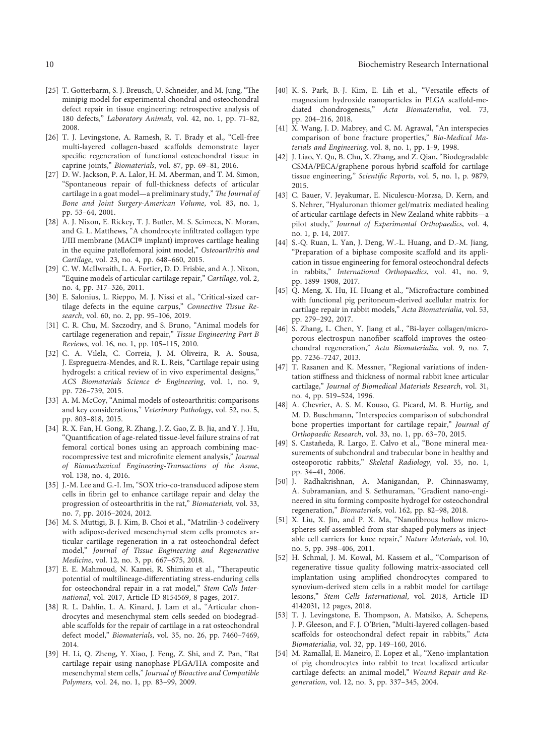- [25] T. Gotterbarm, S. J. Breusch, U. Schneider, and M. Jung, "The minipig model for experimental chondral and osteochondral defect repair in tissue engineering: retrospective analysis of 180 defects," *Laboratory Animals*, vol. 42, no. 1, pp. 71–82, 2008.
- [26] T. J. Levingstone, A. Ramesh, R. T. Brady et al., "Cell-free multi-layered collagen-based scaffolds demonstrate layer specific regeneration of functional osteochondral tissue in caprine joints," *Biomaterials*, vol. 87, pp. 69–81, 2016.
- [27] D. W. Jackson, P. A. Lalor, H. M. Aberman, and T. M. Simon, "Spontaneous repair of full-thickness defects of articular cartilage in a goat model—a preliminary study," The Journal of *Bone and Joint Surgery-American Volume*, vol. 83, no. 1, pp. 53–64, 2001.
- [28] A. J. Nixon, E. Rickey, T. J. Butler, M. S. Scimeca, N. Moran, and G. L. Matthews, "A chondrocyte infiltrated collagen type I/III membrane (MACI®implant) improves cartilage healing in the equine patellofemoral joint model," *Osteoarthritis and Cartilage*, vol. 23, no. 4, pp. 648–660, 2015.
- [29] C. W. McIlwraith, L. A. Fortier, D. D. Frisbie, and A. J. Nixon, "Equine models of articular cartilage repair," *Cartilage*, vol. 2, no. 4, pp. 317–326, 2011.
- [30] E. Salonius, L. Rieppo, M. J. Nissi et al., "Critical-sized cartilage defects in the equine carpus," *Connective Tissue Research*, vol. 60, no. 2, pp. 95–106, 2019.
- [31] C. R. Chu, M. Szczodry, and S. Bruno, "Animal models for cartilage regeneration and repair," *Tissue Engineering Part B Reviews*, vol. 16, no. 1, pp. 105–115, 2010.
- [32] C. A. Vilela, C. Correia, J. M. Oliveira, R. A. Sousa, J. Espregueira-Mendes, and R. L. Reis, "Cartilage repair using hydrogels: a critical review of in vivo experimental designs, *ACS Biomaterials Science & Engineering*, vol. 1, no. 9, pp. 726–739, 2015.
- [33] A. M. McCoy, "Animal models of osteoarthritis: comparisons and key considerations," *Veterinary Pathology*, vol. 52, no. 5, pp. 803–818, 2015.
- [34] R. X. Fan, H. Gong, R. Zhang, J. Z. Gao, Z. B. Jia, and Y. J. Hu, "Quantification of age-related tissue-level failure strains of rat femoral cortical bones using an approach combining macrocompressive test and micro#nite element analysis," *Journal of Biomechanical Engineering-Transactions of the Asme*, vol. 138, no. 4, 2016.
- [35] J.-M. Lee and G.-I. Im, "SOX trio-co-transduced adipose stem cells in fibrin gel to enhance cartilage repair and delay the progression of osteoarthritis in the rat," *Biomaterials*, vol. 33, no. 7, pp. 2016–2024, 2012.
- [36] M. S. Muttigi, B. J. Kim, B. Choi et al., "Matrilin-3 codelivery with adipose-derived mesenchymal stem cells promotes articular cartilage regeneration in a rat osteochondral defect model," *Journal of Tissue Engineering and Regenerative Medicine*, vol. 12, no. 3, pp. 667–675, 2018.
- [37] E. E. Mahmoud, N. Kamei, R. Shimizu et al., "Therapeutic potential of multilineage-differentiating stress-enduring cells for osteochondral repair in a rat model," *Stem Cells International*, vol. 2017, Article ID 8154569, 8 pages, 2017.
- [38] R. L. Dahlin, L. A. Kinard, J. Lam et al., "Articular chondrocytes and mesenchymal stem cells seeded on biodegradable scaffolds for the repair of cartilage in a rat osteochondral defect model," *Biomaterials*, vol. 35, no. 26, pp. 7460–7469, 2014.
- [39] H. Li, Q. Zheng, Y. Xiao, J. Feng, Z. Shi, and Z. Pan, "Rat cartilage repair using nanophase PLGA/HA composite and mesenchymal stem cells," *Journal of Bioactive and Compatible Polymers*, vol. 24, no. 1, pp. 83–99, 2009.
- [40] K.-S. Park, B.-J. Kim, E. Lih et al., "Versatile effects of magnesium hydroxide nanoparticles in PLGA scaffold-mediated chondrogenesis," *Acta Biomaterialia*, vol. 73, pp. 204–216, 2018.
- [41] X. Wang, J. D. Mabrey, and C. M. Agrawal, "An interspecies comparison of bone fracture properties," *Bio-Medical Materials and Engineering*, vol. 8, no. 1, pp. 1–9, 1998.
- [42] J. Liao, Y. Qu, B. Chu, X. Zhang, and Z. Qian, "Biodegradable CSMA/PECA/graphene porous hybrid scaffold for cartilage tissue engineering," Scientific Reports, vol. 5, no. 1, p. 9879, 2015.
- [43] C. Bauer, V. Jeyakumar, E. Niculescu-Morzsa, D. Kern, and S. Nehrer, "Hyaluronan thiomer gel/matrix mediated healing of articular cartilage defects in New Zealand white rabbits—a pilot study," *Journal of Experimental Orthopaedics*, vol. 4, no. 1, p. 14, 2017.
- [44] S.-Q. Ruan, L. Yan, J. Deng, W.-L. Huang, and D.-M. Jiang, "Preparation of a biphase composite scaffold and its application in tissue engineering for femoral osteochondral defects in rabbits," *International Orthopaedics*, vol. 41, no. 9, pp. 1899–1908, 2017.
- [45] Q. Meng, X. Hu, H. Huang et al., "Microfracture combined with functional pig peritoneum-derived acellular matrix for cartilage repair in rabbit models," *Acta Biomaterialia*, vol. 53, pp. 279–292, 2017.
- [46] S. Zhang, L. Chen, Y. Jiang et al., "Bi-layer collagen/microporous electrospun nanofiber scaffold improves the osteochondral regeneration," *Acta Biomaterialia*, vol. 9, no. 7, pp. 7236–7247, 2013.
- [47] T. Rasanen and K. Messner, "Regional variations of indentation stiffness and thickness of normal rabbit knee articular cartilage," *Journal of Biomedical Materials Research*, vol. 31, no. 4, pp. 519–524, 1996.
- [48] A. Chevrier, A. S. M. Kouao, G. Picard, M. B. Hurtig, and M. D. Buschmann, "Interspecies comparison of subchondral bone properties important for cartilage repair," *Journal of Orthopaedic Research*, vol. 33, no. 1, pp. 63–70, 2015.
- [49] S. Castañeda, R. Largo, E. Calvo et al., "Bone mineral measurements of subchondral and trabecular bone in healthy and osteoporotic rabbits," *Skeletal Radiology*, vol. 35, no. 1, pp. 34–41, 2006.
- [50] J. Radhakrishnan, A. Manigandan, P. Chinnaswamy, A. Subramanian, and S. Sethuraman, "Gradient nano-engineered in situ forming composite hydrogel for osteochondral regeneration," *Biomaterials*, vol. 162, pp. 82–98, 2018.
- [51] X. Liu, X. Jin, and P. X. Ma, "Nanofibrous hollow microspheres self-assembled from star-shaped polymers as injectable cell carriers for knee repair," *Nature Materials*, vol. 10, no. 5, pp. 398–406, 2011.
- [52] H. Schmal, J. M. Kowal, M. Kassem et al., "Comparison of regenerative tissue quality following matrix-associated cell implantation using amplified chondrocytes compared to synovium-derived stem cells in a rabbit model for cartilage lesions," *Stem Cells International*, vol. 2018, Article ID 4142031, 12 pages, 2018.
- [53] T. J. Levingstone, E. Thompson, A. Matsiko, A. Schepens, J. P. Gleeson, and F. J. O'Brien, "Multi-layered collagen-based scaffolds for osteochondral defect repair in rabbits," Acta *Biomaterialia*, vol. 32, pp. 149–160, 2016.
- [54] M. Ramallal, E. Maneiro, E. Lopez et al., "Xeno-implantation of pig chondrocytes into rabbit to treat localized articular cartilage defects: an animal model," *Wound Repair and Regeneration*, vol. 12, no. 3, pp. 337–345, 2004.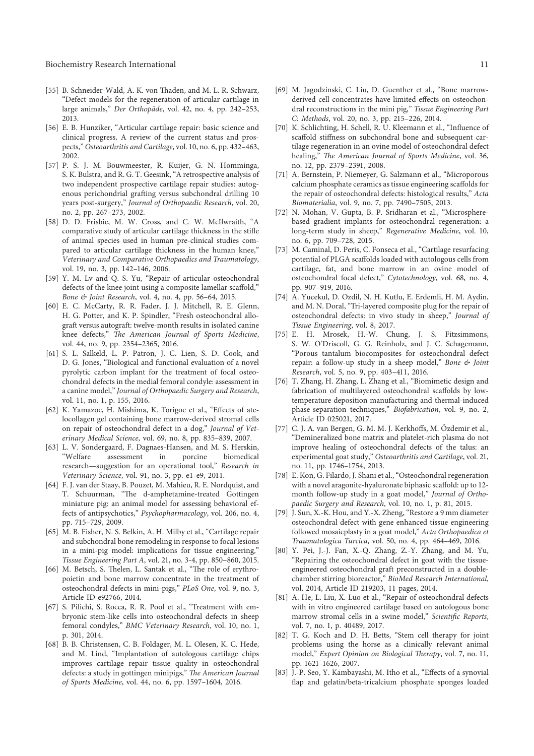- [55] B. Schneider-Wald, A. K. von Thaden, and M. L. R. Schwarz, "Defect models for the regeneration of articular cartilage in large animals," *Der Orthopäde*, vol. 42, no. 4, pp. 242-253, 2013.
- [56] E. B. Hunziker, "Articular cartilage repair: basic science and clinical progress. A review of the current status and prospects," *Osteoarthritis and Cartilage*, vol. 10, no. 6, pp. 432–463, 2002.
- [57] P. S. J. M. Bouwmeester, R. Kuijer, G. N. Homminga, S. K. Bulstra, and R. G. T. Geesink, "A retrospective analysis of two independent prospective cartilage repair studies: autogenous perichondrial grafting versus subchondral drilling 10 years post-surgery," *Journal of Orthopaedic Research*, vol. 20, no. 2, pp. 267–273, 2002.
- [58] D. D. Frisbie, M. W. Cross, and C. W. McIlwraith, "A comparative study of articular cartilage thickness in the stifle of animal species used in human pre-clinical studies compared to articular cartilage thickness in the human knee," *Veterinary and Comparative Orthopaedics and Traumatology*, vol. 19, no. 3, pp. 142–146, 2006.
- [59] Y. M. Lv and Q. S. Yu, "Repair of articular osteochondral defects of the knee joint using a composite lamellar scaffold," *Bone & Joint Research*, vol. 4, no. 4, pp. 56–64, 2015.
- [60] E. C. McCarty, R. R. Fader, J. J. Mitchell, R. E. Glenn, H. G. Potter, and K. P. Spindler, "Fresh osteochondral allograft versus autograft: twelve-month results in isolated canine knee defects," *The American Journal of Sports Medicine*, vol. 44, no. 9, pp. 2354–2365, 2016.
- [61] S. L. Salkeld, L. P. Patron, J. C. Lien, S. D. Cook, and D. G. Jones, "Biological and functional evaluation of a novel pyrolytic carbon implant for the treatment of focal osteochondral defects in the medial femoral condyle: assessment in a canine model," *Journal of Orthopaedic Surgery and Research*, vol. 11, no. 1, p. 155, 2016.
- [62] K. Yamazoe, H. Mishima, K. Torigoe et al., "Effects of atelocollagen gel containing bone marrow-derived stromal cells on repair of osteochondral defect in a dog," *Journal of Veterinary Medical Science*, vol. 69, no. 8, pp. 835–839, 2007.
- [63] L. V. Sondergaard, F. Dagnaes-Hansen, and M. S. Herskin, assessment in porcine biomedical research—suggestion for an operational tool," *Research in Veterinary Science*, vol. 91, no. 3, pp. e1–e9, 2011.
- [64] F. J. van der Staay, B. Pouzet, M. Mahieu, R. E. Nordquist, and T. Schuurman, "The d-amphetamine-treated Gottingen miniature pig: an animal model for assessing behavioral effects of antipsychotics," *Psychopharmacology*, vol. 206, no. 4, pp. 715–729, 2009.
- [65] M. B. Fisher, N. S. Belkin, A. H. Milby et al., "Cartilage repair and subchondral bone remodeling in response to focal lesions in a mini-pig model: implications for tissue engineering," *Tissue Engineering Part A*, vol. 21, no. 3-4, pp. 850–860, 2015.
- [66] M. Betsch, S. Thelen, L. Santak et al., "The role of erythropoietin and bone marrow concentrate in the treatment of osteochondral defects in mini-pigs," *PLoS One*, vol. 9, no. 3, Article ID e92766, 2014.
- [67] S. Pilichi, S. Rocca, R. R. Pool et al., "Treatment with embryonic stem-like cells into osteochondral defects in sheep femoral condyles," *BMC Veterinary Research*, vol. 10, no. 1, p. 301, 2014.
- [68] B. B. Christensen, C. B. Foldager, M. L. Olesen, K. C. Hede, and M. Lind, "Implantation of autologous cartilage chips improves cartilage repair tissue quality in osteochondral defects: a study in gottingen minipigs," The American Journal *of Sports Medicine*, vol. 44, no. 6, pp. 1597–1604, 2016.
- [69] M. Jagodzinski, C. Liu, D. Guenther et al., "Bone marrowderived cell concentrates have limited effects on osteochondral reconstructions in the mini pig," *Tissue Engineering Part C: Methods*, vol. 20, no. 3, pp. 215–226, 2014.
- [70] K. Schlichting, H. Schell, R. U. Kleemann et al., "Influence of scaffold stiffness on subchondral bone and subsequent cartilage regeneration in an ovine model of osteochondral defect healing," *The American Journal of Sports Medicine*, vol. 36, no. 12, pp. 2379–2391, 2008.
- [71] A. Bernstein, P. Niemeyer, G. Salzmann et al., "Microporous calcium phosphate ceramics as tissue engineering scaffolds for the repair of osteochondral defects: histological results," *Acta Biomaterialia*, vol. 9, no. 7, pp. 7490–7505, 2013.
- [72] N. Mohan, V. Gupta, B. P. Sridharan et al., "Microspherebased gradient implants for osteochondral regeneration: a long-term study in sheep," *Regenerative Medicine*, vol. 10, no. 6, pp. 709–728, 2015.
- [73] M. Caminal, D. Peris, C. Fonseca et al., "Cartilage resurfacing potential of PLGA scaffolds loaded with autologous cells from cartilage, fat, and bone marrow in an ovine model of osteochondral focal defect," *Cytotechnology*, vol. 68, no. 4, pp. 907–919, 2016.
- [74] A. Yucekul, D. Ozdil, N. H. Kutlu, E. Erdemli, H. M. Aydin, and M. N. Doral, "Tri-layered composite plug for the repair of osteochondral defects: in vivo study in sheep," *Journal of Tissue Engineering*, vol. 8, 2017.
- [75] E. H. Mrosek, H.-W. Chung, J. S. Fitzsimmons, S. W. O'Driscoll, G. G. Reinholz, and J. C. Schagemann, "Porous tantalum biocomposites for osteochondral defect repair: a follow-up study in a sheep model," *Bone & Joint Research*, vol. 5, no. 9, pp. 403–411, 2016.
- [76] T. Zhang, H. Zhang, L. Zhang et al., "Biomimetic design and fabrication of multilayered osteochondral scaffolds by lowtemperature deposition manufacturing and thermal-induced phase-separation techniques," *Biofabrication*, vol. 9, no. 2, Article ID 025021, 2017.
- [77] C. J. A. van Bergen, G. M. M. J. Kerkhoffs, M. Özdemir et al., "Demineralized bone matrix and platelet-rich plasma do not improve healing of osteochondral defects of the talus: an experimental goat study," *Osteoarthritis and Cartilage*, vol. 21, no. 11, pp. 1746–1754, 2013.
- [78] E. Kon, G. Filardo, J. Shani et al., "Osteochondral regeneration with a novel aragonite-hyaluronate biphasic scaffold: up to 12month follow-up study in a goat model," *Journal of Orthopaedic Surgery and Research*, vol. 10, no. 1, p. 81, 2015.
- [79] J. Sun, X.-K. Hou, and Y.-X. Zheng, "Restore a 9 mm diameter osteochondral defect with gene enhanced tissue engineering followed mosaicplasty in a goat model," *Acta Orthopaedica et Traumatologica Turcica*, vol. 50, no. 4, pp. 464–469, 2016.
- [80] Y. Pei, J.-J. Fan, X.-Q. Zhang, Z.-Y. Zhang, and M. Yu, "Repairing the osteochondral defect in goat with the tissueengineered osteochondral graft preconstructed in a doublechamber stirring bioreactor," *BioMed Research International*, vol. 2014, Article ID 219203, 11 pages, 2014.
- [81] A. He, L. Liu, X. Luo et al., "Repair of osteochondral defects with in vitro engineered cartilage based on autologous bone marrow stromal cells in a swine model," Scientific Reports, vol. 7, no. 1, p. 40489, 2017.
- [82] T. G. Koch and D. H. Betts, "Stem cell therapy for joint problems using the horse as a clinically relevant animal model," *Expert Opinion on Biological Therapy*, vol. 7, no. 11, pp. 1621–1626, 2007.
- [83] J.-P. Seo, Y. Kambayashi, M. Itho et al., "Effects of a synovial flap and gelatin/beta-tricalcium phosphate sponges loaded